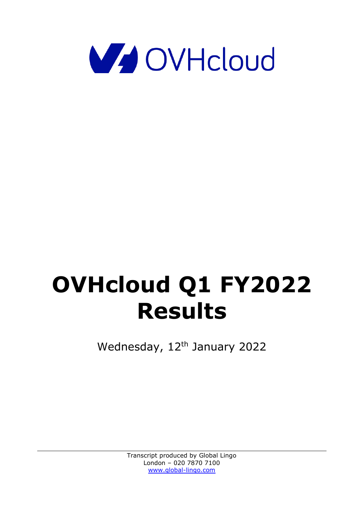

## **OVHcloud Q1 FY2022 Results**

Wednesday, 12<sup>th</sup> January 2022

Transcript produced by Global Lingo London – 020 7870 7100 [www.global-lingo.com](http://www.global-lingo.com/)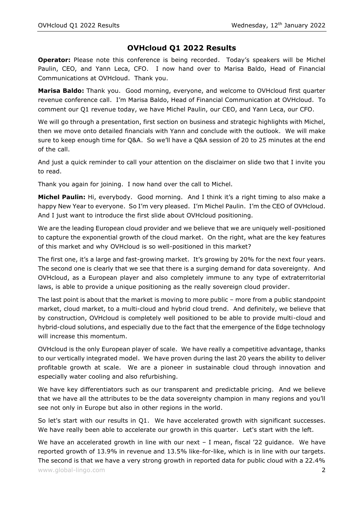## **OVHcloud Q1 2022 Results**

**Operator:** Please note this conference is being recorded. Today's speakers will be Michel Paulin, CEO, and Yann Leca, CFO. I now hand over to Marisa Baldo, Head of Financial Communications at OVHcloud. Thank you.

**Marisa Baldo:** Thank you. Good morning, everyone, and welcome to OVHcloud first quarter revenue conference call. I'm Marisa Baldo, Head of Financial Communication at OVHcloud. To comment our Q1 revenue today, we have Michel Paulin, our CEO, and Yann Leca, our CFO.

We will go through a presentation, first section on business and strategic highlights with Michel, then we move onto detailed financials with Yann and conclude with the outlook. We will make sure to keep enough time for Q&A. So we'll have a Q&A session of 20 to 25 minutes at the end of the call.

And just a quick reminder to call your attention on the disclaimer on slide two that I invite you to read.

Thank you again for joining. I now hand over the call to Michel.

**Michel Paulin:** Hi, everybody. Good morning. And I think it's a right timing to also make a happy New Year to everyone. So I'm very pleased. I'm Michel Paulin. I'm the CEO of OVHcloud. And I just want to introduce the first slide about OVHcloud positioning.

We are the leading European cloud provider and we believe that we are uniquely well-positioned to capture the exponential growth of the cloud market. On the right, what are the key features of this market and why OVHcloud is so well-positioned in this market?

The first one, it's a large and fast-growing market. It's growing by 20% for the next four years. The second one is clearly that we see that there is a surging demand for data sovereignty. And OVHcloud, as a European player and also completely immune to any type of extraterritorial laws, is able to provide a unique positioning as the really sovereign cloud provider.

The last point is about that the market is moving to more public – more from a public standpoint market, cloud market, to a multi-cloud and hybrid cloud trend. And definitely, we believe that by construction, OVHcloud is completely well positioned to be able to provide multi-cloud and hybrid-cloud solutions, and especially due to the fact that the emergence of the Edge technology will increase this momentum.

OVHcloud is the only European player of scale. We have really a competitive advantage, thanks to our vertically integrated model. We have proven during the last 20 years the ability to deliver profitable growth at scale. We are a pioneer in sustainable cloud through innovation and especially water cooling and also refurbishing.

We have key differentiators such as our transparent and predictable pricing. And we believe that we have all the attributes to be the data sovereignty champion in many regions and you'll see not only in Europe but also in other regions in the world.

So let's start with our results in Q1. We have accelerated growth with significant successes. We have really been able to accelerate our growth in this quarter. Let's start with the left.

We have an accelerated growth in line with our next  $-$  I mean, fiscal  $'22$  guidance. We have reported growth of 13.9% in revenue and 13.5% like-for-like, which is in line with our targets. The second is that we have a very strong growth in reported data for public cloud with a 22.4%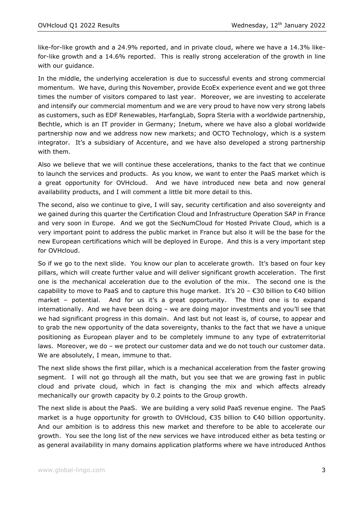like-for-like growth and a 24.9% reported, and in private cloud, where we have a 14.3% likefor-like growth and a 14.6% reported. This is really strong acceleration of the growth in line with our guidance.

In the middle, the underlying acceleration is due to successful events and strong commercial momentum. We have, during this November, provide EcoEx experience event and we got three times the number of visitors compared to last year. Moreover, we are investing to accelerate and intensify our commercial momentum and we are very proud to have now very strong labels as customers, such as EDF Renewables, HarfangLab, Sopra Steria with a worldwide partnership, Bechtle, which is an IT provider in Germany; Inetum, where we have also a global worldwide partnership now and we address now new markets; and OCTO Technology, which is a system integrator. It's a subsidiary of Accenture, and we have also developed a strong partnership with them.

Also we believe that we will continue these accelerations, thanks to the fact that we continue to launch the services and products. As you know, we want to enter the PaaS market which is a great opportunity for OVHcloud. And we have introduced new beta and now general availability products, and I will comment a little bit more detail to this.

The second, also we continue to give, I will say, security certification and also sovereignty and we gained during this quarter the Certification Cloud and Infrastructure Operation SAP in France and very soon in Europe. And we got the SecNumCloud for Hosted Private Cloud, which is a very important point to address the public market in France but also it will be the base for the new European certifications which will be deployed in Europe. And this is a very important step for OVHcloud.

So if we go to the next slide. You know our plan to accelerate growth. It's based on four key pillars, which will create further value and will deliver significant growth acceleration. The first one is the mechanical acceleration due to the evolution of the mix. The second one is the capability to move to PaaS and to capture this huge market. It's 20 –  $\epsilon$ 30 billion to  $\epsilon$ 40 billion market - potential. And for us it's a great opportunity. The third one is to expand internationally. And we have been doing – we are doing major investments and you'll see that we had significant progress in this domain. And last but not least is, of course, to appear and to grab the new opportunity of the data sovereignty, thanks to the fact that we have a unique positioning as European player and to be completely immune to any type of extraterritorial laws. Moreover, we do – we protect our customer data and we do not touch our customer data. We are absolutely, I mean, immune to that.

The next slide shows the first pillar, which is a mechanical acceleration from the faster growing segment. I will not go through all the math, but you see that we are growing fast in public cloud and private cloud, which in fact is changing the mix and which affects already mechanically our growth capacity by 0.2 points to the Group growth.

The next slide is about the PaaS. We are building a very solid PaaS revenue engine. The PaaS market is a huge opportunity for growth to OVHcloud, €35 billion to €40 billion opportunity. And our ambition is to address this new market and therefore to be able to accelerate our growth. You see the long list of the new services we have introduced either as beta testing or as general availability in many domains application platforms where we have introduced Anthos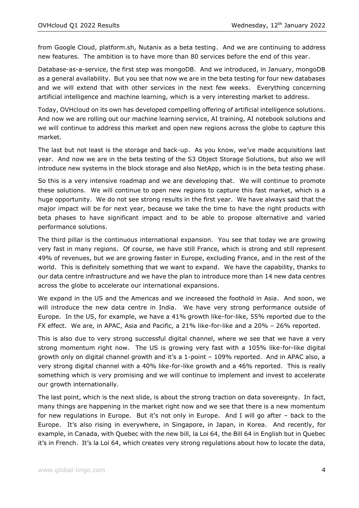from Google Cloud, platform.sh, Nutanix as a beta testing. And we are continuing to address new features. The ambition is to have more than 80 services before the end of this year.

Database-as-a-service, the first step was mongoDB. And we introduced, in January, mongoDB as a general availability. But you see that now we are in the beta testing for four new databases and we will extend that with other services in the next few weeks. Everything concerning artificial intelligence and machine learning, which is a very interesting market to address.

Today, OVHcloud on its own has developed compelling offering of artificial intelligence solutions. And now we are rolling out our machine learning service, AI training, AI notebook solutions and we will continue to address this market and open new regions across the globe to capture this market.

The last but not least is the storage and back-up. As you know, we've made acquisitions last year. And now we are in the beta testing of the S3 Object Storage Solutions, but also we will introduce new systems in the block storage and also NetApp, which is in the beta testing phase.

So this is a very intensive roadmap and we are developing that. We will continue to promote these solutions. We will continue to open new regions to capture this fast market, which is a huge opportunity. We do not see strong results in the first year. We have always said that the major impact will be for next year, because we take the time to have the right products with beta phases to have significant impact and to be able to propose alternative and varied performance solutions.

The third pillar is the continuous international expansion. You see that today we are growing very fast in many regions. Of course, we have still France, which is strong and still represent 49% of revenues, but we are growing faster in Europe, excluding France, and in the rest of the world. This is definitely something that we want to expand. We have the capability, thanks to our data centre infrastructure and we have the plan to introduce more than 14 new data centres across the globe to accelerate our international expansions.

We expand in the US and the Americas and we increased the foothold in Asia. And soon, we will introduce the new data centre in India. We have very strong performance outside of Europe. In the US, for example, we have a 41% growth like-for-like, 55% reported due to the FX effect. We are, in APAC, Asia and Pacific, a 21% like-for-like and a 20% – 26% reported.

This is also due to very strong successful digital channel, where we see that we have a very strong momentum right now. The US is growing very fast with a 105% like-for-like digital growth only on digital channel growth and it's a 1-point – 109% reported. And in APAC also, a very strong digital channel with a 40% like-for-like growth and a 46% reported. This is really something which is very promising and we will continue to implement and invest to accelerate our growth internationally.

The last point, which is the next slide, is about the strong traction on data sovereignty. In fact, many things are happening in the market right now and we see that there is a new momentum for new regulations in Europe. But it's not only in Europe. And I will go after – back to the Europe. It's also rising in everywhere, in Singapore, in Japan, in Korea. And recently, for example, in Canada, with Quebec with the new bill, la Loi 64, the Bill 64 in English but in Quebec it's in French. It's la Loi 64, which creates very strong regulations about how to locate the data,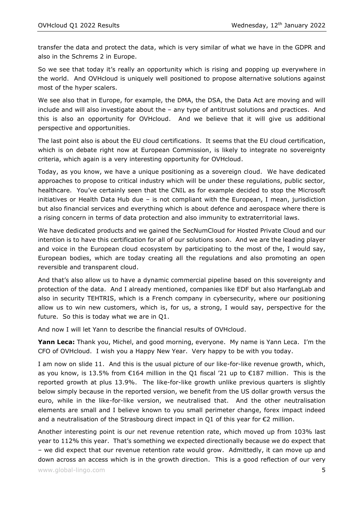transfer the data and protect the data, which is very similar of what we have in the GDPR and also in the Schrems 2 in Europe.

So we see that today it's really an opportunity which is rising and popping up everywhere in the world. And OVHcloud is uniquely well positioned to propose alternative solutions against most of the hyper scalers.

We see also that in Europe, for example, the DMA, the DSA, the Data Act are moving and will include and will also investigate about the – any type of antitrust solutions and practices. And this is also an opportunity for OVHcloud. And we believe that it will give us additional perspective and opportunities.

The last point also is about the EU cloud certifications. It seems that the EU cloud certification, which is on debate right now at European Commission, is likely to integrate no sovereignty criteria, which again is a very interesting opportunity for OVHcloud.

Today, as you know, we have a unique positioning as a sovereign cloud. We have dedicated approaches to propose to critical industry which will be under these regulations, public sector, healthcare. You've certainly seen that the CNIL as for example decided to stop the Microsoft initiatives or Health Data Hub due – is not compliant with the European, I mean, jurisdiction but also financial services and everything which is about defence and aerospace where there is a rising concern in terms of data protection and also immunity to extraterritorial laws.

We have dedicated products and we gained the SecNumCloud for Hosted Private Cloud and our intention is to have this certification for all of our solutions soon. And we are the leading player and voice in the European cloud ecosystem by participating to the most of the, I would say, European bodies, which are today creating all the regulations and also promoting an open reversible and transparent cloud.

And that's also allow us to have a dynamic commercial pipeline based on this sovereignty and protection of the data. And I already mentioned, companies like EDF but also HarfangLab and also in security TEHTRIS, which is a French company in cybersecurity, where our positioning allow us to win new customers, which is, for us, a strong, I would say, perspective for the future. So this is today what we are in Q1.

And now I will let Yann to describe the financial results of OVHcloud.

**Yann Leca:** Thank you, Michel, and good morning, everyone. My name is Yann Leca. I'm the CFO of OVHcloud. I wish you a Happy New Year. Very happy to be with you today.

I am now on slide 11. And this is the usual picture of our like-for-like revenue growth, which, as you know, is 13.5% from €164 million in the Q1 fiscal '21 up to €187 million. This is the reported growth at plus 13.9%. The like-for-like growth unlike previous quarters is slightly below simply because in the reported version, we benefit from the US dollar growth versus the euro, while in the like-for-like version, we neutralised that. And the other neutralisation elements are small and I believe known to you small perimeter change, forex impact indeed and a neutralisation of the Strasbourg direct impact in Q1 of this year for  $\epsilon$ 2 million.

Another interesting point is our net revenue retention rate, which moved up from 103% last year to 112% this year. That's something we expected directionally because we do expect that – we did expect that our revenue retention rate would grow. Admittedly, it can move up and down across an access which is in the growth direction. This is a good reflection of our very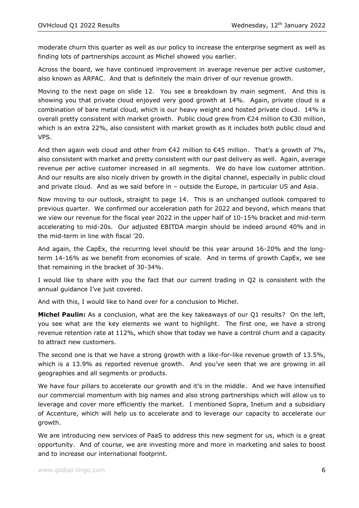moderate churn this quarter as well as our policy to increase the enterprise segment as well as finding lots of partnerships account as Michel showed you earlier.

Across the board, we have continued improvement in average revenue per active customer, also known as ARPAC. And that is definitely the main driver of our revenue growth.

Moving to the next page on slide 12. You see a breakdown by main segment. And this is showing you that private cloud enjoyed very good growth at 14%. Again, private cloud is a combination of bare metal cloud, which is our heavy weight and hosted private cloud. 14% is overall pretty consistent with market growth. Public cloud grew from  $\epsilon$ 24 million to  $\epsilon$ 30 million, which is an extra 22%, also consistent with market growth as it includes both public cloud and VPS.

And then again web cloud and other from  $\epsilon$ 42 million to  $\epsilon$ 45 million. That's a growth of 7%, also consistent with market and pretty consistent with our past delivery as well. Again, average revenue per active customer increased in all segments. We do have low customer attrition. And our results are also nicely driven by growth in the digital channel, especially in public cloud and private cloud. And as we said before in – outside the Europe, in particular US and Asia.

Now moving to our outlook, straight to page 14. This is an unchanged outlook compared to previous quarter. We confirmed our acceleration path for 2022 and beyond, which means that we view our revenue for the fiscal year 2022 in the upper half of 10-15% bracket and mid-term accelerating to mid-20s. Our adjusted EBITDA margin should be indeed around 40% and in the mid-term in line with fiscal '20.

And again, the CapEx, the recurring level should be this year around 16-20% and the longterm 14-16% as we benefit from economies of scale. And in terms of growth CapEx, we see that remaining in the bracket of 30-34%.

I would like to share with you the fact that our current trading in Q2 is consistent with the annual guidance I've just covered.

And with this, I would like to hand over for a conclusion to Michel.

**Michel Paulin:** As a conclusion, what are the key takeaways of our Q1 results? On the left, you see what are the key elements we want to highlight. The first one, we have a strong revenue retention rate at 112%, which show that today we have a control churn and a capacity to attract new customers.

The second one is that we have a strong growth with a like-for-like revenue growth of 13.5%, which is a 13.9% as reported revenue growth. And you've seen that we are growing in all geographies and all segments or products.

We have four pillars to accelerate our growth and it's in the middle. And we have intensified our commercial momentum with big names and also strong partnerships which will allow us to leverage and cover more efficiently the market. I mentioned Sopra, Inetum and a subsidiary of Accenture, which will help us to accelerate and to leverage our capacity to accelerate our growth.

We are introducing new services of PaaS to address this new segment for us, which is a great opportunity. And of course, we are investing more and more in marketing and sales to boost and to increase our international footprint.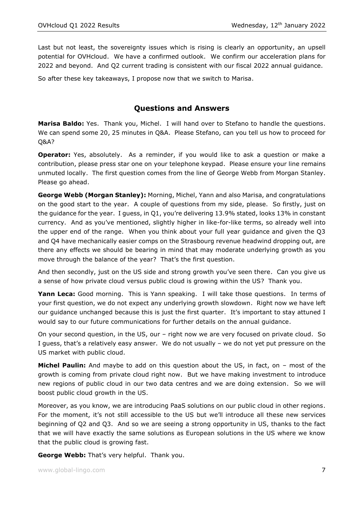Last but not least, the sovereignty issues which is rising is clearly an opportunity, an upsell potential for OVHcloud. We have a confirmed outlook. We confirm our acceleration plans for 2022 and beyond. And Q2 current trading is consistent with our fiscal 2022 annual guidance.

So after these key takeaways, I propose now that we switch to Marisa.

## **Questions and Answers**

**Marisa Baldo:** Yes. Thank you, Michel. I will hand over to Stefano to handle the questions. We can spend some 20, 25 minutes in Q&A. Please Stefano, can you tell us how to proceed for Q&A?

**Operator:** Yes, absolutely. As a reminder, if you would like to ask a question or make a contribution, please press star one on your telephone keypad. Please ensure your line remains unmuted locally. The first question comes from the line of George Webb from Morgan Stanley. Please go ahead.

**George Webb (Morgan Stanley):** Morning, Michel, Yann and also Marisa, and congratulations on the good start to the year. A couple of questions from my side, please. So firstly, just on the guidance for the year. I guess, in Q1, you're delivering 13.9% stated, looks 13% in constant currency. And as you've mentioned, slightly higher in like-for-like terms, so already well into the upper end of the range. When you think about your full year guidance and given the Q3 and Q4 have mechanically easier comps on the Strasbourg revenue headwind dropping out, are there any effects we should be bearing in mind that may moderate underlying growth as you move through the balance of the year? That's the first question.

And then secondly, just on the US side and strong growth you've seen there. Can you give us a sense of how private cloud versus public cloud is growing within the US? Thank you.

**Yann Leca:** Good morning. This is Yann speaking. I will take those questions. In terms of your first question, we do not expect any underlying growth slowdown. Right now we have left our guidance unchanged because this is just the first quarter. It's important to stay attuned I would say to our future communications for further details on the annual guidance.

On your second question, in the US, our – right now we are very focused on private cloud. So I guess, that's a relatively easy answer. We do not usually – we do not yet put pressure on the US market with public cloud.

**Michel Paulin:** And maybe to add on this question about the US, in fact, on – most of the growth is coming from private cloud right now. But we have making investment to introduce new regions of public cloud in our two data centres and we are doing extension. So we will boost public cloud growth in the US.

Moreover, as you know, we are introducing PaaS solutions on our public cloud in other regions. For the moment, it's not still accessible to the US but we'll introduce all these new services beginning of Q2 and Q3. And so we are seeing a strong opportunity in US, thanks to the fact that we will have exactly the same solutions as European solutions in the US where we know that the public cloud is growing fast.

**George Webb:** That's very helpful. Thank you.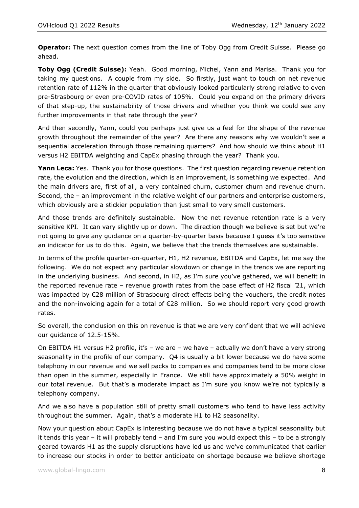**Operator:** The next question comes from the line of Toby Ogg from Credit Suisse. Please go ahead.

**Toby Ogg (Credit Suisse):** Yeah. Good morning, Michel, Yann and Marisa. Thank you for taking my questions. A couple from my side. So firstly, just want to touch on net revenue retention rate of 112% in the quarter that obviously looked particularly strong relative to even pre-Strasbourg or even pre-COVID rates of 105%. Could you expand on the primary drivers of that step-up, the sustainability of those drivers and whether you think we could see any further improvements in that rate through the year?

And then secondly, Yann, could you perhaps just give us a feel for the shape of the revenue growth throughout the remainder of the year? Are there any reasons why we wouldn't see a sequential acceleration through those remaining quarters? And how should we think about H1 versus H2 EBITDA weighting and CapEx phasing through the year? Thank you.

Yann Leca: Yes. Thank you for those questions. The first question regarding revenue retention rate, the evolution and the direction, which is an improvement, is something we expected. And the main drivers are, first of all, a very contained churn, customer churn and revenue churn. Second, the – an improvement in the relative weight of our partners and enterprise customers, which obviously are a stickier population than just small to very small customers.

And those trends are definitely sustainable. Now the net revenue retention rate is a very sensitive KPI. It can vary slightly up or down. The direction though we believe is set but we're not going to give any guidance on a quarter-by-quarter basis because I guess it's too sensitive an indicator for us to do this. Again, we believe that the trends themselves are sustainable.

In terms of the profile quarter-on-quarter, H1, H2 revenue, EBITDA and CapEx, let me say the following. We do not expect any particular slowdown or change in the trends we are reporting in the underlying business. And second, in H2, as I'm sure you've gathered, we will benefit in the reported revenue rate – revenue growth rates from the base effect of H2 fiscal '21, which was impacted by €28 million of Strasbourg direct effects being the vouchers, the credit notes and the non-invoicing again for a total of €28 million. So we should report very good growth rates.

So overall, the conclusion on this on revenue is that we are very confident that we will achieve our guidance of 12.5-15%.

On EBITDA H1 versus H2 profile, it's – we are – we have – actually we don't have a very strong seasonality in the profile of our company. Q4 is usually a bit lower because we do have some telephony in our revenue and we sell packs to companies and companies tend to be more close than open in the summer, especially in France. We still have approximately a 50% weight in our total revenue. But that's a moderate impact as I'm sure you know we're not typically a telephony company.

And we also have a population still of pretty small customers who tend to have less activity throughout the summer. Again, that's a moderate H1 to H2 seasonality.

Now your question about CapEx is interesting because we do not have a typical seasonality but it tends this year – it will probably tend – and I'm sure you would expect this – to be a strongly geared towards H1 as the supply disruptions have led us and we've communicated that earlier to increase our stocks in order to better anticipate on shortage because we believe shortage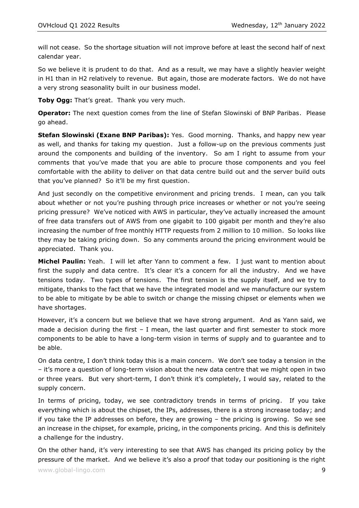will not cease. So the shortage situation will not improve before at least the second half of next calendar year.

So we believe it is prudent to do that. And as a result, we may have a slightly heavier weight in H1 than in H2 relatively to revenue. But again, those are moderate factors. We do not have a very strong seasonality built in our business model.

**Toby Ogg:** That's great. Thank you very much.

**Operator:** The next question comes from the line of Stefan Slowinski of BNP Paribas. Please go ahead.

**Stefan Slowinski (Exane BNP Paribas):** Yes. Good morning. Thanks, and happy new year as well, and thanks for taking my question. Just a follow-up on the previous comments just around the components and building of the inventory. So am I right to assume from your comments that you've made that you are able to procure those components and you feel comfortable with the ability to deliver on that data centre build out and the server build outs that you've planned? So it'll be my first question.

And just secondly on the competitive environment and pricing trends. I mean, can you talk about whether or not you're pushing through price increases or whether or not you're seeing pricing pressure? We've noticed with AWS in particular, they've actually increased the amount of free data transfers out of AWS from one gigabit to 100 gigabit per month and they're also increasing the number of free monthly HTTP requests from 2 million to 10 million. So looks like they may be taking pricing down. So any comments around the pricing environment would be appreciated. Thank you.

**Michel Paulin:** Yeah. I will let after Yann to comment a few. I just want to mention about first the supply and data centre. It's clear it's a concern for all the industry. And we have tensions today. Two types of tensions. The first tension is the supply itself, and we try to mitigate, thanks to the fact that we have the integrated model and we manufacture our system to be able to mitigate by be able to switch or change the missing chipset or elements when we have shortages.

However, it's a concern but we believe that we have strong argument. And as Yann said, we made a decision during the first  $-$  I mean, the last quarter and first semester to stock more components to be able to have a long-term vision in terms of supply and to guarantee and to be able.

On data centre, I don't think today this is a main concern. We don't see today a tension in the – it's more a question of long-term vision about the new data centre that we might open in two or three years. But very short-term, I don't think it's completely, I would say, related to the supply concern.

In terms of pricing, today, we see contradictory trends in terms of pricing. If you take everything which is about the chipset, the IPs, addresses, there is a strong increase today; and if you take the IP addresses on before, they are growing – the pricing is growing. So we see an increase in the chipset, for example, pricing, in the components pricing. And this is definitely a challenge for the industry.

On the other hand, it's very interesting to see that AWS has changed its pricing policy by the pressure of the market. And we believe it's also a proof that today our positioning is the right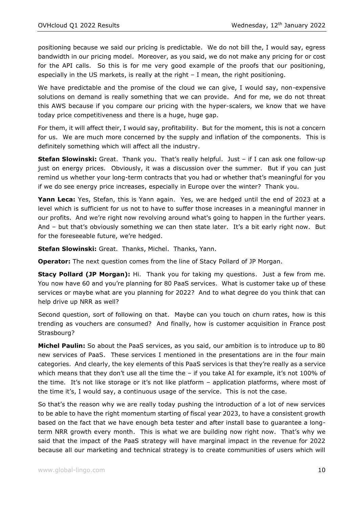positioning because we said our pricing is predictable. We do not bill the, I would say, egress bandwidth in our pricing model. Moreover, as you said, we do not make any pricing for or cost for the API calls. So this is for me very good example of the proofs that our positioning, especially in the US markets, is really at the right – I mean, the right positioning.

We have predictable and the promise of the cloud we can give, I would say, non-expensive solutions on demand is really something that we can provide. And for me, we do not threat this AWS because if you compare our pricing with the hyper-scalers, we know that we have today price competitiveness and there is a huge, huge gap.

For them, it will affect their, I would say, profitability. But for the moment, this is not a concern for us. We are much more concerned by the supply and inflation of the components. This is definitely something which will affect all the industry.

**Stefan Slowinski:** Great. Thank you. That's really helpful. Just – if I can ask one follow-up just on energy prices. Obviously, it was a discussion over the summer. But if you can just remind us whether your long-term contracts that you had or whether that's meaningful for you if we do see energy price increases, especially in Europe over the winter? Thank you.

**Yann Leca:** Yes, Stefan, this is Yann again. Yes, we are hedged until the end of 2023 at a level which is sufficient for us not to have to suffer those increases in a meaningful manner in our profits. And we're right now revolving around what's going to happen in the further years. And – but that's obviously something we can then state later. It's a bit early right now. But for the foreseeable future, we're hedged.

**Stefan Slowinski:** Great. Thanks, Michel. Thanks, Yann.

**Operator:** The next question comes from the line of Stacy Pollard of JP Morgan.

**Stacy Pollard (JP Morgan):** Hi. Thank you for taking my questions. Just a few from me. You now have 60 and you're planning for 80 PaaS services. What is customer take up of these services or maybe what are you planning for 2022? And to what degree do you think that can help drive up NRR as well?

Second question, sort of following on that. Maybe can you touch on churn rates, how is this trending as vouchers are consumed? And finally, how is customer acquisition in France post Strasbourg?

**Michel Paulin:** So about the PaaS services, as you said, our ambition is to introduce up to 80 new services of PaaS. These services I mentioned in the presentations are in the four main categories. And clearly, the key elements of this PaaS services is that they're really as a service which means that they don't use all the time the - if you take AI for example, it's not 100% of the time. It's not like storage or it's not like platform – application platforms, where most of the time it's, I would say, a continuous usage of the service. This is not the case.

So that's the reason why we are really today pushing the introduction of a lot of new services to be able to have the right momentum starting of fiscal year 2023, to have a consistent growth based on the fact that we have enough beta tester and after install base to guarantee a longterm NRR growth every month. This is what we are building now right now. That's why we said that the impact of the PaaS strategy will have marginal impact in the revenue for 2022 because all our marketing and technical strategy is to create communities of users which will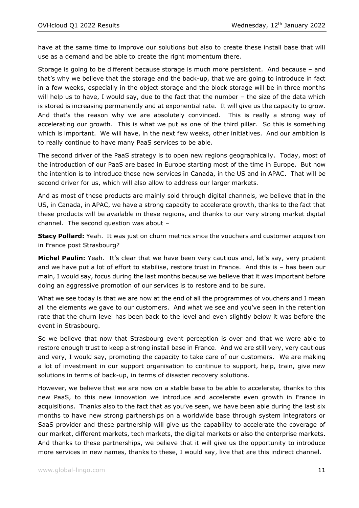have at the same time to improve our solutions but also to create these install base that will use as a demand and be able to create the right momentum there.

Storage is going to be different because storage is much more persistent. And because – and that's why we believe that the storage and the back-up, that we are going to introduce in fact in a few weeks, especially in the object storage and the block storage will be in three months will help us to have, I would say, due to the fact that the number - the size of the data which is stored is increasing permanently and at exponential rate. It will give us the capacity to grow. And that's the reason why we are absolutely convinced. This is really a strong way of accelerating our growth. This is what we put as one of the third pillar. So this is something which is important. We will have, in the next few weeks, other initiatives. And our ambition is to really continue to have many PaaS services to be able.

The second driver of the PaaS strategy is to open new regions geographically. Today, most of the introduction of our PaaS are based in Europe starting most of the time in Europe. But now the intention is to introduce these new services in Canada, in the US and in APAC. That will be second driver for us, which will also allow to address our larger markets.

And as most of these products are mainly sold through digital channels, we believe that in the US, in Canada, in APAC, we have a strong capacity to accelerate growth, thanks to the fact that these products will be available in these regions, and thanks to our very strong market digital channel. The second question was about –

**Stacy Pollard:** Yeah. It was just on churn metrics since the vouchers and customer acquisition in France post Strasbourg?

**Michel Paulin:** Yeah. It's clear that we have been very cautious and, let's say, very prudent and we have put a lot of effort to stabilise, restore trust in France. And this is – has been our main, I would say, focus during the last months because we believe that it was important before doing an aggressive promotion of our services is to restore and to be sure.

What we see today is that we are now at the end of all the programmes of vouchers and I mean all the elements we gave to our customers. And what we see and you've seen in the retention rate that the churn level has been back to the level and even slightly below it was before the event in Strasbourg.

So we believe that now that Strasbourg event perception is over and that we were able to restore enough trust to keep a strong install base in France. And we are still very, very cautious and very, I would say, promoting the capacity to take care of our customers. We are making a lot of investment in our support organisation to continue to support, help, train, give new solutions in terms of back-up, in terms of disaster recovery solutions.

However, we believe that we are now on a stable base to be able to accelerate, thanks to this new PaaS, to this new innovation we introduce and accelerate even growth in France in acquisitions. Thanks also to the fact that as you've seen, we have been able during the last six months to have new strong partnerships on a worldwide base through system integrators or SaaS provider and these partnership will give us the capability to accelerate the coverage of our market, different markets, tech markets, the digital markets or also the enterprise markets. And thanks to these partnerships, we believe that it will give us the opportunity to introduce more services in new names, thanks to these, I would say, live that are this indirect channel.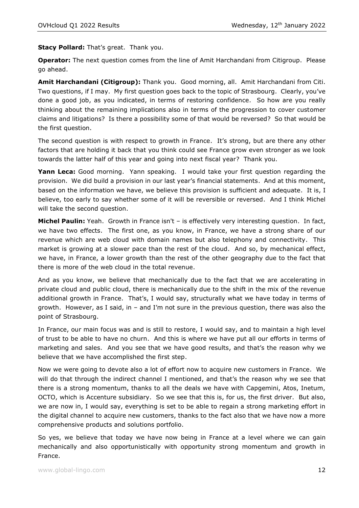**Stacy Pollard:** That's great. Thank you.

**Operator:** The next question comes from the line of Amit Harchandani from Citigroup. Please go ahead.

**Amit Harchandani (Citigroup):** Thank you. Good morning, all. Amit Harchandani from Citi. Two questions, if I may. My first question goes back to the topic of Strasbourg. Clearly, you've done a good job, as you indicated, in terms of restoring confidence. So how are you really thinking about the remaining implications also in terms of the progression to cover customer claims and litigations? Is there a possibility some of that would be reversed? So that would be the first question.

The second question is with respect to growth in France. It's strong, but are there any other factors that are holding it back that you think could see France grow even stronger as we look towards the latter half of this year and going into next fiscal year? Thank you.

**Yann Leca:** Good morning. Yann speaking. I would take your first question regarding the provision. We did build a provision in our last year's financial statements. And at this moment, based on the information we have, we believe this provision is sufficient and adequate. It is, I believe, too early to say whether some of it will be reversible or reversed. And I think Michel will take the second question.

**Michel Paulin:** Yeah. Growth in France isn't – is effectively very interesting question. In fact, we have two effects. The first one, as you know, in France, we have a strong share of our revenue which are web cloud with domain names but also telephony and connectivity. This market is growing at a slower pace than the rest of the cloud. And so, by mechanical effect, we have, in France, a lower growth than the rest of the other geography due to the fact that there is more of the web cloud in the total revenue.

And as you know, we believe that mechanically due to the fact that we are accelerating in private cloud and public cloud, there is mechanically due to the shift in the mix of the revenue additional growth in France. That's, I would say, structurally what we have today in terms of growth. However, as I said, in – and I'm not sure in the previous question, there was also the point of Strasbourg.

In France, our main focus was and is still to restore, I would say, and to maintain a high level of trust to be able to have no churn. And this is where we have put all our efforts in terms of marketing and sales. And you see that we have good results, and that's the reason why we believe that we have accomplished the first step.

Now we were going to devote also a lot of effort now to acquire new customers in France. We will do that through the indirect channel I mentioned, and that's the reason why we see that there is a strong momentum, thanks to all the deals we have with Capgemini, Atos, Inetum, OCTO, which is Accenture subsidiary. So we see that this is, for us, the first driver. But also, we are now in, I would say, everything is set to be able to regain a strong marketing effort in the digital channel to acquire new customers, thanks to the fact also that we have now a more comprehensive products and solutions portfolio.

So yes, we believe that today we have now being in France at a level where we can gain mechanically and also opportunistically with opportunity strong momentum and growth in France.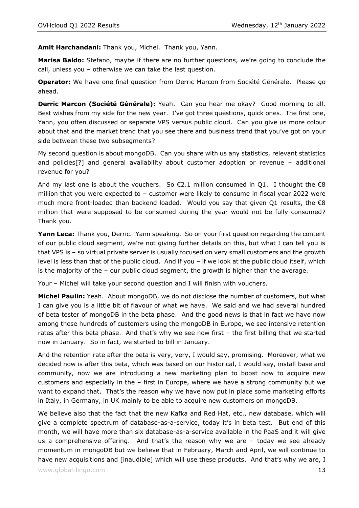**Amit Harchandani:** Thank you, Michel. Thank you, Yann.

**Marisa Baldo:** Stefano, maybe if there are no further questions, we're going to conclude the call, unless you – otherwise we can take the last question.

**Operator:** We have one final question from Derric Marcon from Société Générale. Please go ahead.

**Derric Marcon (Société Générale):** Yeah. Can you hear me okay? Good morning to all. Best wishes from my side for the new year. I've got three questions, quick ones. The first one, Yann, you often discussed or separate VPS versus public cloud. Can you give us more colour about that and the market trend that you see there and business trend that you've got on your side between these two subsegments?

My second question is about mongoDB. Can you share with us any statistics, relevant statistics and policies[?] and general availability about customer adoption or revenue – additional revenue for you?

And my last one is about the vouchers. So  $\epsilon$ 2.1 million consumed in Q1. I thought the  $\epsilon$ 8 million that you were expected to – customer were likely to consume in fiscal year 2022 were much more front-loaded than backend loaded. Would you say that given Q1 results, the  $\epsilon$ 8 million that were supposed to be consumed during the year would not be fully consumed? Thank you.

Yann Leca: Thank you, Derric. Yann speaking. So on your first question regarding the content of our public cloud segment, we're not giving further details on this, but what I can tell you is that VPS is – so virtual private server is usually focused on very small customers and the growth level is less than that of the public cloud. And if you – if we look at the public cloud itself, which is the majority of the – our public cloud segment, the growth is higher than the average.

Your – Michel will take your second question and I will finish with vouchers.

**Michel Paulin:** Yeah. About mongoDB, we do not disclose the number of customers, but what I can give you is a little bit of flavour of what we have. We said and we had several hundred of beta tester of mongoDB in the beta phase. And the good news is that in fact we have now among these hundreds of customers using the mongoDB in Europe, we see intensive retention rates after this beta phase. And that's why we see now first - the first billing that we started now in January. So in fact, we started to bill in January.

And the retention rate after the beta is very, very, I would say, promising. Moreover, what we decided now is after this beta, which was based on our historical, I would say, install base and community, now we are introducing a new marketing plan to boost now to acquire new customers and especially in the – first in Europe, where we have a strong community but we want to expand that. That's the reason why we have now put in place some marketing efforts in Italy, in Germany, in UK mainly to be able to acquire new customers on mongoDB.

We believe also that the fact that the new Kafka and Red Hat, etc., new database, which will give a complete spectrum of database-as-a-service, today it's in beta test. But end of this month, we will have more than six database-as-a-service available in the PaaS and it will give us a comprehensive offering. And that's the reason why we are – today we see already momentum in mongoDB but we believe that in February, March and April, we will continue to have new acquisitions and [inaudible] which will use these products. And that's why we are, I